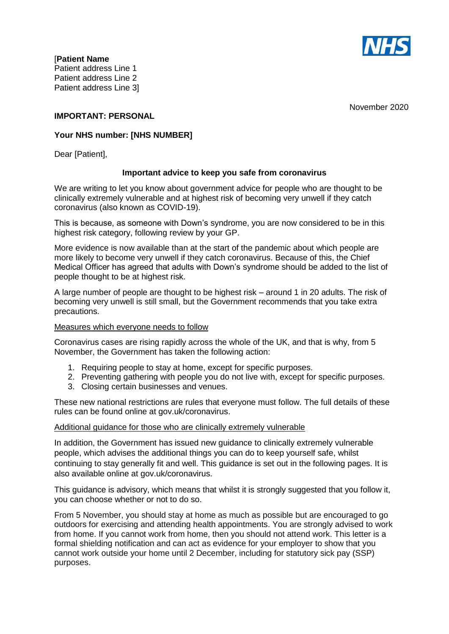

[**Patient Name**  Patient address Line 1 Patient address Line 2 Patient address Line 3]

November 2020

## **IMPORTANT: PERSONAL**

# **Your NHS number: [NHS NUMBER]**

Dear [Patient],

#### **Important advice to keep you safe from coronavirus**

We are writing to let you know about government advice for people who are thought to be clinically extremely vulnerable and at highest risk of becoming very unwell if they catch coronavirus (also known as COVID-19).

This is because, as someone with Down's syndrome, you are now considered to be in this highest risk category, following review by your GP.

More evidence is now available than at the start of the pandemic about which people are more likely to become very unwell if they catch coronavirus. Because of this, the Chief Medical Officer has agreed that adults with Down's syndrome should be added to the list of people thought to be at highest risk.

A large number of people are thought to be highest risk – around 1 in 20 adults. The risk of becoming very unwell is still small, but the Government recommends that you take extra precautions.

#### Measures which everyone needs to follow

Coronavirus cases are rising rapidly across the whole of the UK, and that is why, from 5 November, the Government has taken the following action:

- 1. Requiring people to stay at home, except for specific purposes.
- 2. Preventing gathering with people you do not live with, except for specific purposes.
- 3. Closing certain businesses and venues.

These new national restrictions are rules that everyone must follow. The full details of these rules can be found online at gov.uk/coronavirus.

#### Additional guidance for those who are clinically extremely vulnerable

In addition, the Government has issued new guidance to clinically extremely vulnerable people, which advises the additional things you can do to keep yourself safe, whilst continuing to stay generally fit and well. This guidance is set out in the following pages. It is also available online at gov.uk/coronavirus.

This guidance is advisory, which means that whilst it is strongly suggested that you follow it, you can choose whether or not to do so.

From 5 November, you should stay at home as much as possible but are encouraged to go outdoors for exercising and attending health appointments. You are strongly advised to work from home. If you cannot work from home, then you should not attend work. This letter is a formal shielding notification and can act as evidence for your employer to show that you cannot work outside your home until 2 December, including for statutory sick pay (SSP) purposes.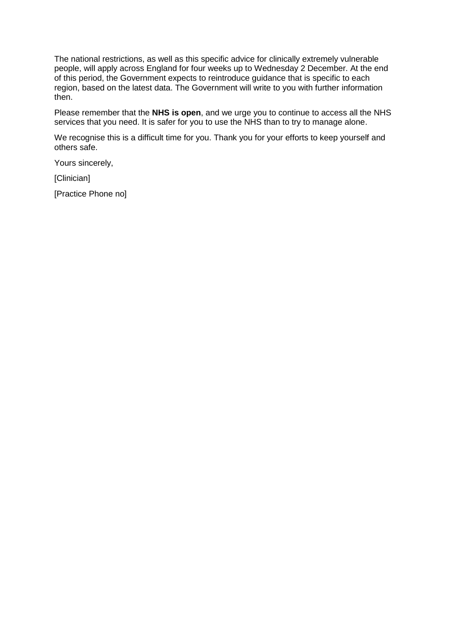The national restrictions, as well as this specific advice for clinically extremely vulnerable people, will apply across England for four weeks up to Wednesday 2 December. At the end of this period, the Government expects to reintroduce guidance that is specific to each region, based on the latest data. The Government will write to you with further information then.

Please remember that the **NHS is open**, and we urge you to continue to access all the NHS services that you need. It is safer for you to use the NHS than to try to manage alone.

We recognise this is a difficult time for you. Thank you for your efforts to keep yourself and others safe.

Yours sincerely,

[Clinician]

[Practice Phone no]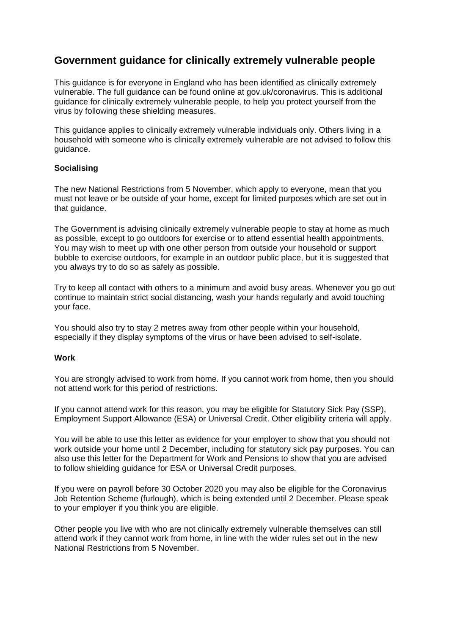# **Government guidance for clinically extremely vulnerable people**

This guidance is for everyone in England who has been identified as clinically extremely vulnerable. The full guidance can be found online at gov.uk/coronavirus. This is additional guidance for clinically extremely vulnerable people, to help you protect yourself from the virus by following these shielding measures.

This guidance applies to clinically extremely vulnerable individuals only. Others living in a household with someone who is clinically extremely vulnerable are not advised to follow this guidance.

## **Socialising**

The new National Restrictions from 5 November, which apply to everyone, mean that you must not leave or be outside of your home, except for limited purposes which are set out in that guidance.

The Government is advising clinically extremely vulnerable people to stay at home as much as possible, except to go outdoors for exercise or to attend essential health appointments. You may wish to meet up with one other person from outside your household or support bubble to exercise outdoors, for example in an outdoor public place, but it is suggested that you always try to do so as safely as possible.

Try to keep all contact with others to a minimum and avoid busy areas. Whenever you go out continue to maintain strict social distancing, wash your hands regularly and avoid touching your face.

You should also try to stay 2 metres away from other people within your household, especially if they display symptoms of the virus or have been advised to self-isolate.

#### **Work**

You are strongly advised to work from home. If you cannot work from home, then you should not attend work for this period of restrictions.

If you cannot attend work for this reason, you may be eligible for Statutory Sick Pay (SSP), Employment Support Allowance (ESA) or Universal Credit. Other eligibility criteria will apply.

You will be able to use this letter as evidence for your employer to show that you should not work outside your home until 2 December, including for statutory sick pay purposes. You can also use this letter for the Department for Work and Pensions to show that you are advised to follow shielding guidance for ESA or Universal Credit purposes.

If you were on payroll before 30 October 2020 you may also be eligible for the Coronavirus Job Retention Scheme (furlough), which is being extended until 2 December. Please speak to your employer if you think you are eligible.

Other people you live with who are not clinically extremely vulnerable themselves can still attend work if they cannot work from home, in line with the wider rules set out in the new National Restrictions from 5 November.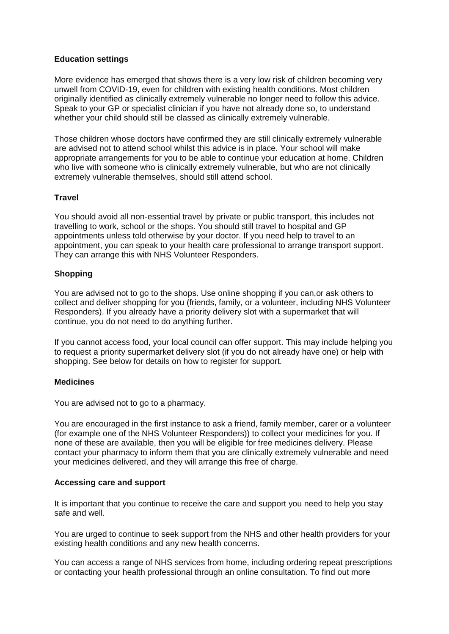## **Education settings**

More evidence has emerged that shows there is a very low risk of children becoming very unwell from COVID-19, even for children with existing health conditions. Most children originally identified as clinically extremely vulnerable no longer need to follow this advice. Speak to your GP or specialist clinician if you have not already done so, to understand whether your child should still be classed as clinically extremely vulnerable.

Those children whose doctors have confirmed they are still clinically extremely vulnerable are advised not to attend school whilst this advice is in place. Your school will make appropriate arrangements for you to be able to continue your education at home. Children who live with someone who is clinically extremely vulnerable, but who are not clinically extremely vulnerable themselves, should still attend school.

# **Travel**

You should avoid all non-essential travel by private or public transport, this includes not travelling to work, school or the shops. You should still travel to hospital and GP appointments unless told otherwise by your doctor. If you need help to travel to an appointment, you can speak to your health care professional to arrange transport support. They can arrange this with NHS Volunteer Responders.

## **Shopping**

You are advised not to go to the shops. Use online shopping if you can,or ask others to collect and deliver shopping for you (friends, family, or a volunteer, including NHS Volunteer Responders). If you already have a priority delivery slot with a supermarket that will continue, you do not need to do anything further.

If you cannot access food, your local council can offer support. This may include helping you to request a priority supermarket delivery slot (if you do not already have one) or help with shopping. See below for details on how to register for support.

## **Medicines**

You are advised not to go to a pharmacy.

You are encouraged in the first instance to ask a friend, family member, carer or a volunteer (for example one of the NHS Volunteer Responders)) to collect your medicines for you. If none of these are available, then you will be eligible for free medicines delivery. Please contact your pharmacy to inform them that you are clinically extremely vulnerable and need your medicines delivered, and they will arrange this free of charge.

## **Accessing care and support**

It is important that you continue to receive the care and support you need to help you stay safe and well.

You are urged to continue to seek support from the NHS and other health providers for your existing health conditions and any new health concerns.

You can access a range of NHS services from home, including ordering repeat prescriptions or contacting your health professional through an online consultation. To find out more